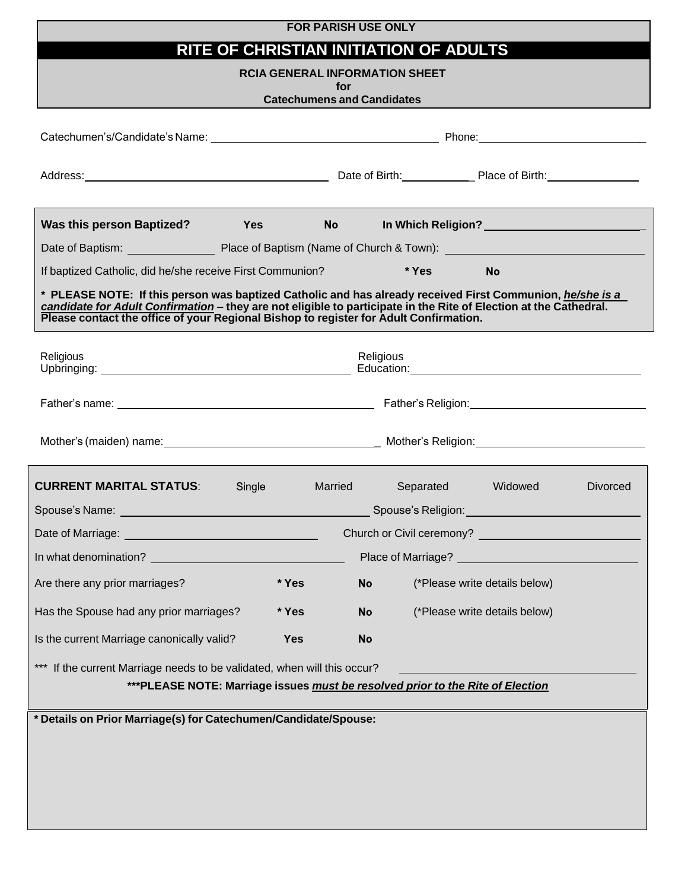### **FOR PARISH USE ONLY**

# **RITE OF CHRISTIAN INITIATION OF ADULTS**

### **RCIA GENERAL INFORMATION SHEET**

**for**

| <b>Catechumens and Candidates</b>                                                                                                                                                                                                                                                                                       |                                                                                                                                                                                                                                     |           |           |                                                |                 |
|-------------------------------------------------------------------------------------------------------------------------------------------------------------------------------------------------------------------------------------------------------------------------------------------------------------------------|-------------------------------------------------------------------------------------------------------------------------------------------------------------------------------------------------------------------------------------|-----------|-----------|------------------------------------------------|-----------------|
|                                                                                                                                                                                                                                                                                                                         |                                                                                                                                                                                                                                     |           |           |                                                |                 |
| Address: National Place of Birth: National Place of Birth: National Place of Birth: National Place of Birth: National Place of Birth: National Place of Birth: National Place of Birth: National Place of Birth: National Plac                                                                                          |                                                                                                                                                                                                                                     |           |           |                                                |                 |
| <b>Was this person Baptized?</b>                                                                                                                                                                                                                                                                                        | <b>Yes</b> and the set of the set of the set of the set of the set of the set of the set of the set of the set of the set of the set of the set of the set of the set of the set of the set of the set of the set of the set of the | <b>No</b> |           | In Which Religion?____________________________ |                 |
|                                                                                                                                                                                                                                                                                                                         |                                                                                                                                                                                                                                     |           |           |                                                |                 |
| If baptized Catholic, did he/she receive First Communion?                                                                                                                                                                                                                                                               |                                                                                                                                                                                                                                     |           | * Yes     | No                                             |                 |
| * PLEASE NOTE: If this person was baptized Catholic and has already received First Communion, he/she is a<br>candidate for Adult Confirmation – they are not eligible to participate in the Rite of Election at the Cathedral.<br>Please contact the office of your Regional Bishop to register for Adult Confirmation. |                                                                                                                                                                                                                                     |           |           |                                                |                 |
| Religious<br>Religious                                                                                                                                                                                                                                                                                                  |                                                                                                                                                                                                                                     |           |           |                                                |                 |
|                                                                                                                                                                                                                                                                                                                         |                                                                                                                                                                                                                                     |           |           |                                                |                 |
|                                                                                                                                                                                                                                                                                                                         |                                                                                                                                                                                                                                     |           |           |                                                |                 |
| <b>CURRENT MARITAL STATUS:</b>                                                                                                                                                                                                                                                                                          | Single                                                                                                                                                                                                                              | Married   | Separated | Widowed                                        | <b>Divorced</b> |
|                                                                                                                                                                                                                                                                                                                         |                                                                                                                                                                                                                                     |           |           |                                                |                 |
|                                                                                                                                                                                                                                                                                                                         |                                                                                                                                                                                                                                     |           |           |                                                |                 |
|                                                                                                                                                                                                                                                                                                                         |                                                                                                                                                                                                                                     |           |           |                                                |                 |
| Are there any prior marriages?                                                                                                                                                                                                                                                                                          | * Yes                                                                                                                                                                                                                               | <b>No</b> |           | (*Please write details below)                  |                 |
| Has the Spouse had any prior marriages?                                                                                                                                                                                                                                                                                 | * Yes                                                                                                                                                                                                                               | No        |           | (*Please write details below)                  |                 |
| Is the current Marriage canonically valid?                                                                                                                                                                                                                                                                              | <b>Yes</b>                                                                                                                                                                                                                          | No        |           |                                                |                 |
| *** If the current Marriage needs to be validated, when will this occur?<br>***PLEASE NOTE: Marriage issues must be resolved prior to the Rite of Election                                                                                                                                                              |                                                                                                                                                                                                                                     |           |           |                                                |                 |
|                                                                                                                                                                                                                                                                                                                         |                                                                                                                                                                                                                                     |           |           |                                                |                 |
| * Details on Prior Marriage(s) for Catechumen/Candidate/Spouse:                                                                                                                                                                                                                                                         |                                                                                                                                                                                                                                     |           |           |                                                |                 |
|                                                                                                                                                                                                                                                                                                                         |                                                                                                                                                                                                                                     |           |           |                                                |                 |